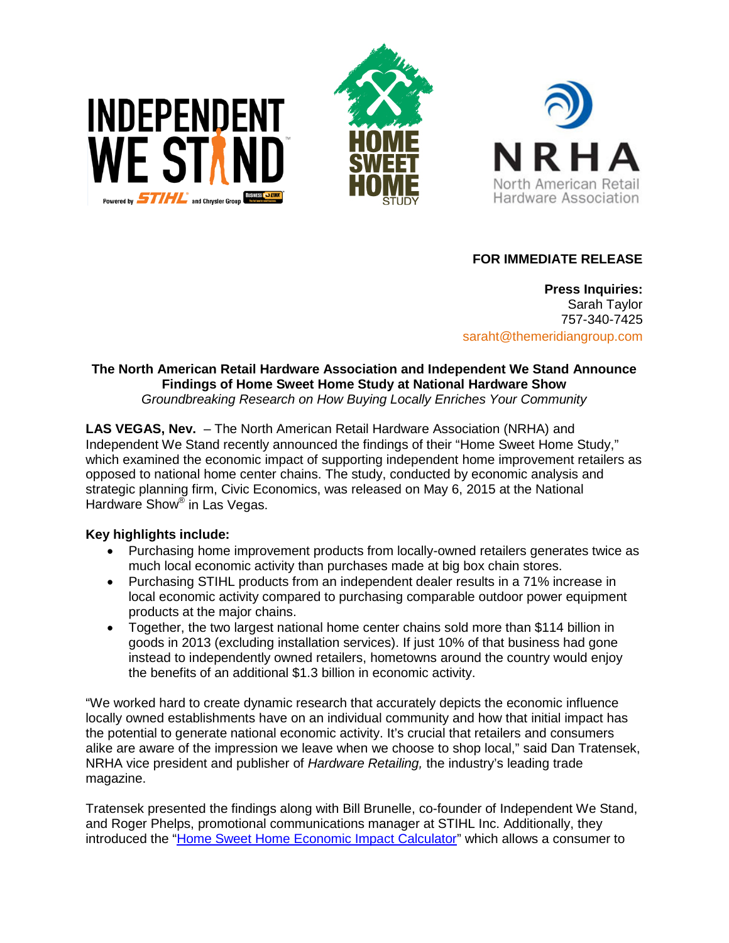





## **FOR IMMEDIATE RELEASE**

**Press Inquiries:** Sarah Taylor 757-340-7425 saraht@themeridiangroup.com

# **The North American Retail Hardware Association and Independent We Stand Announce Findings of Home Sweet Home Study at National Hardware Show**

*Groundbreaking Research on How Buying Locally Enriches Your Community* 

**LAS VEGAS, Nev.** – The North American Retail Hardware Association (NRHA) and Independent We Stand recently announced the findings of their "Home Sweet Home Study," which examined the economic impact of supporting independent home improvement retailers as opposed to national home center chains. The study, conducted by economic analysis and strategic planning firm, Civic Economics, was released on May 6, 2015 at the National Hardware Show® in Las Vegas.

## **Key highlights include:**

- Purchasing home improvement products from locally-owned retailers generates twice as much local economic activity than purchases made at big box chain stores.
- Purchasing STIHL products from an independent dealer results in a 71% increase in local economic activity compared to purchasing comparable outdoor power equipment products at the major chains.
- Together, the two largest national home center chains sold more than \$114 billion in goods in 2013 (excluding installation services). If just 10% of that business had gone instead to independently owned retailers, hometowns around the country would enjoy the benefits of an additional \$1.3 billion in economic activity.

"We worked hard to create dynamic research that accurately depicts the economic influence locally owned establishments have on an individual community and how that initial impact has the potential to generate national economic activity. It's crucial that retailers and consumers alike are aware of the impression we leave when we choose to shop local," said Dan Tratensek, NRHA vice president and publisher of *Hardware Retailing,* the industry's leading trade magazine.

Tratensek presented the findings along with Bill Brunelle, co-founder of Independent We Stand, and Roger Phelps, promotional communications manager at STIHL Inc. Additionally, they introduced the ["Home Sweet Home Economic Impact Calculator"](http://www.independentwestand.org/home-sweet-home-economic-impact-calculator/) which allows a consumer to